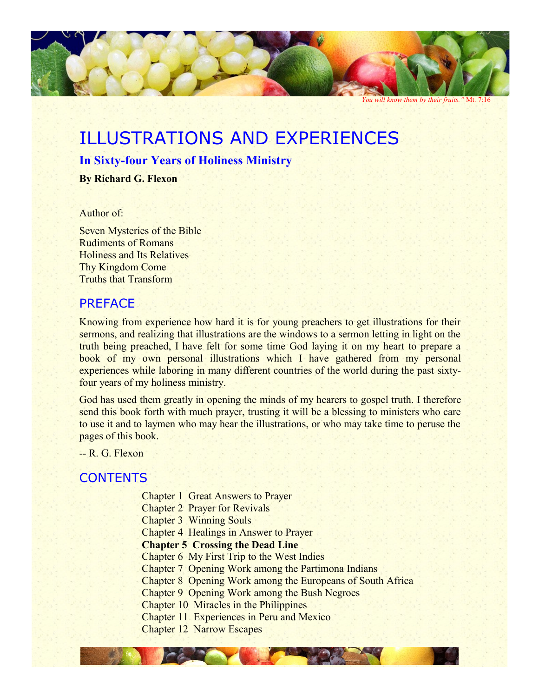

*You will know them by their fruits."* Mt. 7:16

# ILLUSTRATIONS AND EXPERIENCES

## **In Sixty-four Years of Holiness Ministry**

**By Richard G. Flexon**

#### Author of:

Seven Mysteries of the Bible Rudiments of Romans Holiness and Its Relatives Thy Kingdom Come Truths that Transform

# PREFACE

Knowing from experience how hard it is for young preachers to get illustrations for their sermons, and realizing that illustrations are the windows to a sermon letting in light on the truth being preached, I have felt for some time God laying it on my heart to prepare a book of my own personal illustrations which I have gathered from my personal experiences while laboring in many different countries of the world during the past sixtyfour years of my holiness ministry.

God has used them greatly in opening the minds of my hearers to gospel truth. I therefore send this book forth with much prayer, trusting it will be a blessing to ministers who care to use it and to laymen who may hear the illustrations, or who may take time to peruse the pages of this book.

-- R. G. Flexon

# **CONTENTS**

- Chapter 1 Great Answers to Prayer
- Chapter 2 Prayer for Revivals

Chapter 3 Winning Souls

Chapter 4 Healings in Answer to Prayer

## **Chapter 5 Crossing the Dead Line**

- Chapter 6 My First Trip to the West Indies
- Chapter 7 Opening Work among the Partimona Indians
- Chapter 8 Opening Work among the Europeans of South Africa
- Chapter 9 Opening Work among the Bush Negroes
- Chapter 10 Miracles in the Philippines
- Chapter 11 Experiences in Peru and Mexico
- Chapter 12 Narrow Escapes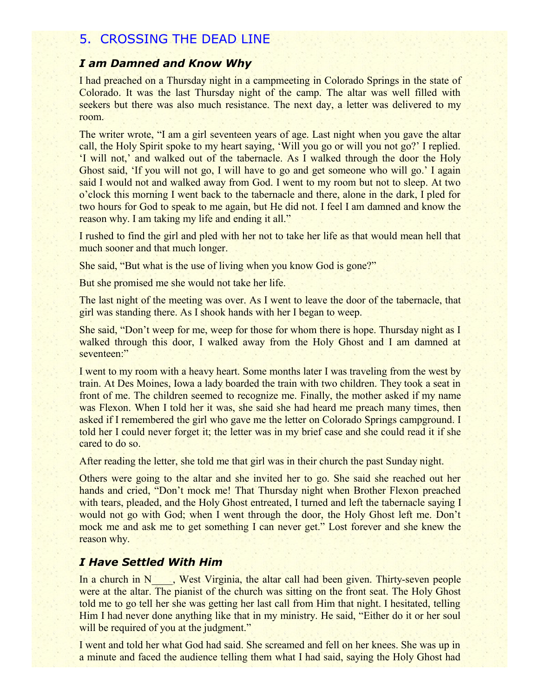# 5. CROSSING THE DEAD LINE

## *I am Damned and Know Why*

I had preached on a Thursday night in a campmeeting in Colorado Springs in the state of Colorado. It was the last Thursday night of the camp. The altar was well filled with seekers but there was also much resistance. The next day, a letter was delivered to my room.

The writer wrote, "I am a girl seventeen years of age. Last night when you gave the altar call, the Holy Spirit spoke to my heart saying, 'Will you go or will you not go?' I replied. 'I will not,' and walked out of the tabernacle. As I walked through the door the Holy Ghost said, 'If you will not go, I will have to go and get someone who will go.' I again said I would not and walked away from God. I went to my room but not to sleep. At two o'clock this morning I went back to the tabernacle and there, alone in the dark, I pled for two hours for God to speak to me again, but He did not. I feel I am damned and know the reason why. I am taking my life and ending it all."

I rushed to find the girl and pled with her not to take her life as that would mean hell that much sooner and that much longer.

She said, "But what is the use of living when you know God is gone?"

But she promised me she would not take her life.

The last night of the meeting was over. As I went to leave the door of the tabernacle, that girl was standing there. As I shook hands with her I began to weep.

She said, "Don't weep for me, weep for those for whom there is hope. Thursday night as I walked through this door, I walked away from the Holy Ghost and I am damned at seventeen:"

I went to my room with a heavy heart. Some months later I was traveling from the west by train. At Des Moines, Iowa a lady boarded the train with two children. They took a seat in front of me. The children seemed to recognize me. Finally, the mother asked if my name was Flexon. When I told her it was, she said she had heard me preach many times, then asked if I remembered the girl who gave me the letter on Colorado Springs campground. I told her I could never forget it; the letter was in my brief case and she could read it if she cared to do so.

After reading the letter, she told me that girl was in their church the past Sunday night.

Others were going to the altar and she invited her to go. She said she reached out her hands and cried, "Don't mock me! That Thursday night when Brother Flexon preached with tears, pleaded, and the Holy Ghost entreated, I turned and left the tabernacle saying I would not go with God; when I went through the door, the Holy Ghost left me. Don't mock me and ask me to get something I can never get." Lost forever and she knew the reason why.

#### *I Have Settled With Him*

In a church in N<sub>n</sub>, West Virginia, the altar call had been given. Thirty-seven people were at the altar. The pianist of the church was sitting on the front seat. The Holy Ghost told me to go tell her she was getting her last call from Him that night. I hesitated, telling Him I had never done anything like that in my ministry. He said, "Either do it or her soul will be required of you at the judgment."

I went and told her what God had said. She screamed and fell on her knees. She was up in a minute and faced the audience telling them what I had said, saying the Holy Ghost had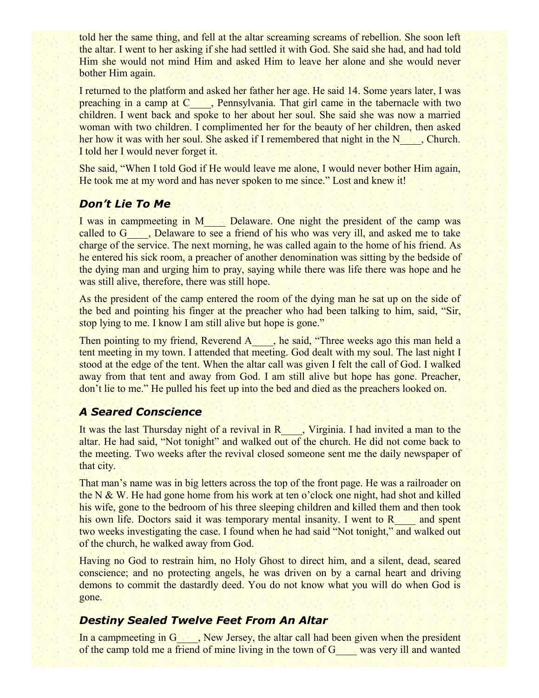told her the same thing, and fell at the altar screaming screams of rebellion. She soon left the altar. I went to her asking if she had settled it with God. She said she had, and had told Him she would not mind Him and asked Him to leave her alone and she would never bother Him again.

I returned to the platform and asked her father her age. He said 14. Some years later, I was preaching in a camp at C<sub>2</sub>, Pennsylvania. That girl came in the tabernacle with two children. I went back and spoke to her about her soul. She said she was now a married woman with two children. I complimented her for the beauty of her children, then asked her how it was with her soul. She asked if I remembered that night in the N<sub>n</sub>, Church. I told her I would never forget it.

She said, "When I told God if He would leave me alone, I would never bother Him again, He took me at my word and has never spoken to me since." Lost and knew it!

# *Don't Lie To Me*

I was in campmeeting in M\_\_\_\_ Delaware. One night the president of the camp was called to G<sub>n</sub>, Delaware to see a friend of his who was very ill, and asked me to take charge of the service. The next morning, he was called again to the home of his friend. As he entered his sick room, a preacher of another denomination was sitting by the bedside of the dying man and urging him to pray, saying while there was life there was hope and he was still alive, therefore, there was still hope.

As the president of the camp entered the room of the dying man he sat up on the side of the bed and pointing his finger at the preacher who had been talking to him, said, "Sir, stop lying to me. I know I am still alive but hope is gone."

Then pointing to my friend, Reverend A \_\_\_, he said, "Three weeks ago this man held a tent meeting in my town. I attended that meeting. God dealt with my soul. The last night I stood at the edge of the tent. When the altar call was given I felt the call of God. I walked away from that tent and away from God. I am still alive but hope has gone. Preacher, don't lie to me." He pulled his feet up into the bed and died as the preachers looked on.

# *A Seared Conscience*

It was the last Thursday night of a revival in R\_\_\_\_, Virginia. I had invited a man to the altar. He had said, "Not tonight" and walked out of the church. He did not come back to the meeting. Two weeks after the revival closed someone sent me the daily newspaper of that city.

That man's name was in big letters across the top of the front page. He was a railroader on the N & W. He had gone home from his work at ten o'clock one night, had shot and killed his wife, gone to the bedroom of his three sleeping children and killed them and then took his own life. Doctors said it was temporary mental insanity. I went to R<sub>and</sub> spent two weeks investigating the case. I found when he had said "Not tonight," and walked out of the church, he walked away from God.

Having no God to restrain him, no Holy Ghost to direct him, and a silent, dead, seared conscience; and no protecting angels, he was driven on by a carnal heart and driving demons to commit the dastardly deed. You do not know what you will do when God is gone.

# *Destiny Sealed Twelve Feet From An Altar*

In a campmeeting in G<sub>n</sub>, New Jersey, the altar call had been given when the president of the camp told me a friend of mine living in the town of G\_\_\_\_ was very ill and wanted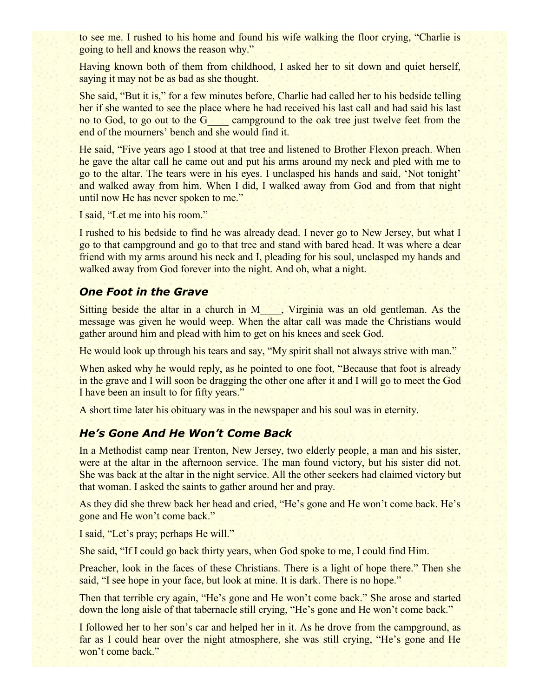to see me. I rushed to his home and found his wife walking the floor crying, "Charlie is going to hell and knows the reason why."

Having known both of them from childhood, I asked her to sit down and quiet herself, saying it may not be as bad as she thought.

She said, "But it is," for a few minutes before, Charlie had called her to his bedside telling her if she wanted to see the place where he had received his last call and had said his last no to God, to go out to the G<sub>campground</sub> to the oak tree just twelve feet from the end of the mourners' bench and she would find it.

He said, "Five years ago I stood at that tree and listened to Brother Flexon preach. When he gave the altar call he came out and put his arms around my neck and pled with me to go to the altar. The tears were in his eyes. I unclasped his hands and said, 'Not tonight' and walked away from him. When I did, I walked away from God and from that night until now He has never spoken to me."

I said, "Let me into his room."

I rushed to his bedside to find he was already dead. I never go to New Jersey, but what I go to that campground and go to that tree and stand with bared head. It was where a dear friend with my arms around his neck and I, pleading for his soul, unclasped my hands and walked away from God forever into the night. And oh, what a night.

## *One Foot in the Grave*

Sitting beside the altar in a church in M\_\_\_\_, Virginia was an old gentleman. As the message was given he would weep. When the altar call was made the Christians would gather around him and plead with him to get on his knees and seek God.

He would look up through his tears and say, "My spirit shall not always strive with man."

When asked why he would reply, as he pointed to one foot, "Because that foot is already in the grave and I will soon be dragging the other one after it and I will go to meet the God I have been an insult to for fifty years."

A short time later his obituary was in the newspaper and his soul was in eternity.

#### *He's Gone And He Won't Come Back*

In a Methodist camp near Trenton, New Jersey, two elderly people, a man and his sister, were at the altar in the afternoon service. The man found victory, but his sister did not. She was back at the altar in the night service. All the other seekers had claimed victory but that woman. I asked the saints to gather around her and pray.

As they did she threw back her head and cried, "He's gone and He won't come back. He's gone and He won't come back."

I said, "Let's pray; perhaps He will."

She said, "If I could go back thirty years, when God spoke to me, I could find Him.

Preacher, look in the faces of these Christians. There is a light of hope there." Then she said, "I see hope in your face, but look at mine. It is dark. There is no hope."

Then that terrible cry again, "He's gone and He won't come back." She arose and started down the long aisle of that tabernacle still crying, "He's gone and He won't come back."

I followed her to her son's car and helped her in it. As he drove from the campground, as far as I could hear over the night atmosphere, she was still crying, "He's gone and He won't come back."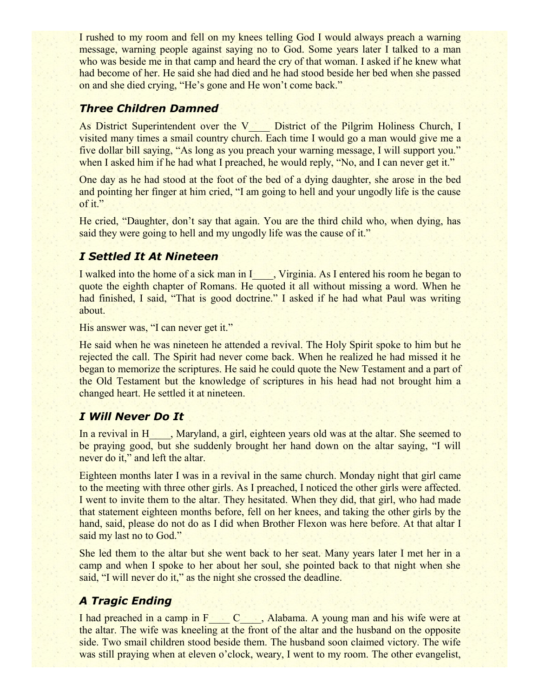I rushed to my room and fell on my knees telling God I would always preach a warning message, warning people against saying no to God. Some years later I talked to a man who was beside me in that camp and heard the cry of that woman. I asked if he knew what had become of her. He said she had died and he had stood beside her bed when she passed on and she died crying, "He's gone and He won't come back."

# *Three Children Damned*

As District Superintendent over the V District of the Pilgrim Holiness Church, I visited many times a smail country church. Each time I would go a man would give me a five dollar bill saying, "As long as you preach your warning message, I will support you." when I asked him if he had what I preached, he would reply, "No, and I can never get it."

One day as he had stood at the foot of the bed of a dying daughter, she arose in the bed and pointing her finger at him cried, "I am going to hell and your ungodly life is the cause of it."

He cried, "Daughter, don't say that again. You are the third child who, when dying, has said they were going to hell and my ungodly life was the cause of it."

# *I Settled It At Nineteen*

I walked into the home of a sick man in I\_\_\_\_, Virginia. As I entered his room he began to quote the eighth chapter of Romans. He quoted it all without missing a word. When he had finished, I said, "That is good doctrine." I asked if he had what Paul was writing about.

His answer was, "I can never get it."

He said when he was nineteen he attended a revival. The Holy Spirit spoke to him but he rejected the call. The Spirit had never come back. When he realized he had missed it he began to memorize the scriptures. He said he could quote the New Testament and a part of the Old Testament but the knowledge of scriptures in his head had not brought him a changed heart. He settled it at nineteen.

# *I Will Never Do It*

In a revival in H<sub>3</sub>, Maryland, a girl, eighteen years old was at the altar. She seemed to be praying good, but she suddenly brought her hand down on the altar saying, "I will never do it," and left the altar.

Eighteen months later I was in a revival in the same church. Monday night that girl came to the meeting with three other girls. As I preached, I noticed the other girls were affected. I went to invite them to the altar. They hesitated. When they did, that girl, who had made that statement eighteen months before, fell on her knees, and taking the other girls by the hand, said, please do not do as I did when Brother Flexon was here before. At that altar I said my last no to God."

She led them to the altar but she went back to her seat. Many years later I met her in a camp and when I spoke to her about her soul, she pointed back to that night when she said, "I will never do it," as the night she crossed the deadline.

# *A Tragic Ending*

I had preached in a camp in F\_\_\_\_ C\_\_\_\_, Alabama. A young man and his wife were at the altar. The wife was kneeling at the front of the altar and the husband on the opposite side. Two smail children stood beside them. The husband soon claimed victory. The wife was still praying when at eleven o'clock, weary, I went to my room. The other evangelist,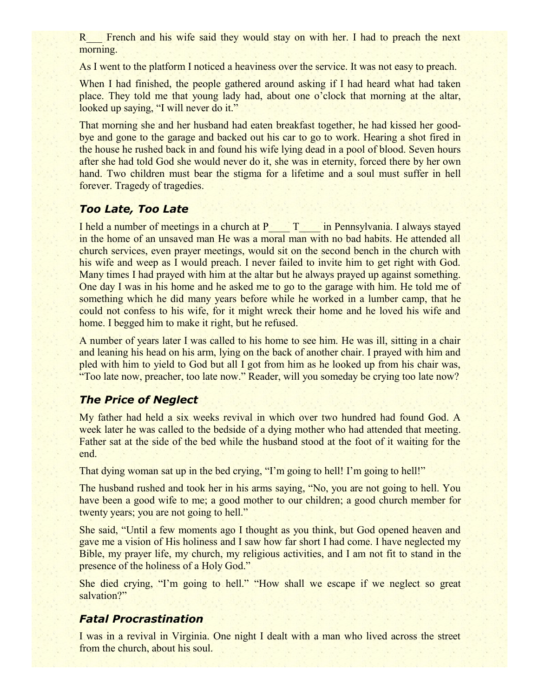R<sub>T</sub> French and his wife said they would stay on with her. I had to preach the next morning.

As I went to the platform I noticed a heaviness over the service. It was not easy to preach.

When I had finished, the people gathered around asking if I had heard what had taken place. They told me that young lady had, about one o'clock that morning at the altar, looked up saying, "I will never do it."

That morning she and her husband had eaten breakfast together, he had kissed her goodbye and gone to the garage and backed out his car to go to work. Hearing a shot fired in the house he rushed back in and found his wife lying dead in a pool of blood. Seven hours after she had told God she would never do it, she was in eternity, forced there by her own hand. Two children must bear the stigma for a lifetime and a soul must suffer in hell forever. Tragedy of tragedies.

#### *Too Late, Too Late*

I held a number of meetings in a church at P\_\_\_\_ T\_\_\_\_ in Pennsylvania. I always stayed in the home of an unsaved man He was a moral man with no bad habits. He attended all church services, even prayer meetings, would sit on the second bench in the church with his wife and weep as I would preach. I never failed to invite him to get right with God. Many times I had prayed with him at the altar but he always prayed up against something. One day I was in his home and he asked me to go to the garage with him. He told me of something which he did many years before while he worked in a lumber camp, that he could not confess to his wife, for it might wreck their home and he loved his wife and home. I begged him to make it right, but he refused.

A number of years later I was called to his home to see him. He was ill, sitting in a chair and leaning his head on his arm, lying on the back of another chair. I prayed with him and pled with him to yield to God but all I got from him as he looked up from his chair was, "Too late now, preacher, too late now." Reader, will you someday be crying too late now?

## *The Price of Neglect*

My father had held a six weeks revival in which over two hundred had found God. A week later he was called to the bedside of a dying mother who had attended that meeting. Father sat at the side of the bed while the husband stood at the foot of it waiting for the end.

That dying woman sat up in the bed crying, "I'm going to hell! I'm going to hell!"

The husband rushed and took her in his arms saying, "No, you are not going to hell. You have been a good wife to me; a good mother to our children; a good church member for twenty years; you are not going to hell."

She said, "Until a few moments ago I thought as you think, but God opened heaven and gave me a vision of His holiness and I saw how far short I had come. I have neglected my Bible, my prayer life, my church, my religious activities, and I am not fit to stand in the presence of the holiness of a Holy God."

She died crying, "I'm going to hell." "How shall we escape if we neglect so great salvation?"

#### *Fatal Procrastination*

I was in a revival in Virginia. One night I dealt with a man who lived across the street from the church, about his soul.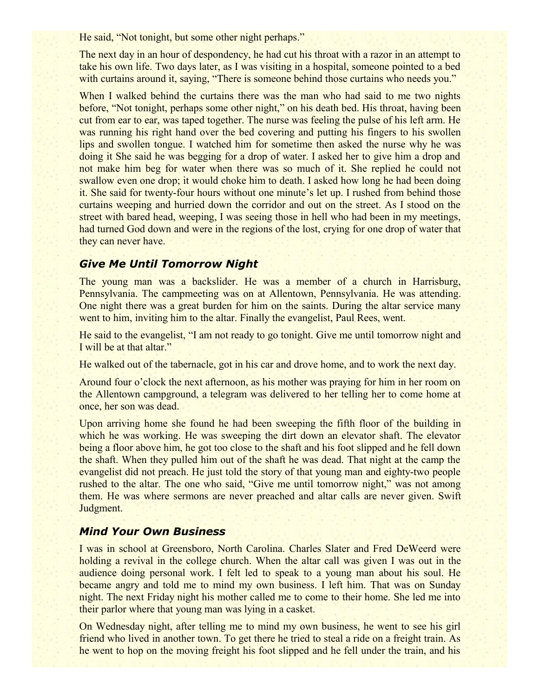He said, "Not tonight, but some other night perhaps."

The next day in an hour of despondency, he had cut his throat with a razor in an attempt to take his own life. Two days later, as I was visiting in a hospital, someone pointed to a bed with curtains around it, saying, "There is someone behind those curtains who needs you."

When I walked behind the curtains there was the man who had said to me two nights before, "Not tonight, perhaps some other night," on his death bed. His throat, having been cut from ear to ear, was taped together. The nurse was feeling the pulse of his left arm. He was running his right hand over the bed covering and putting his fingers to his swollen lips and swollen tongue. I watched him for sometime then asked the nurse why he was doing it She said he was begging for a drop of water. I asked her to give him a drop and not make him beg for water when there was so much of it. She replied he could not swallow even one drop; it would choke him to death. I asked how long he had been doing it. She said for twenty-four hours without one minute's let up. I rushed from behind those curtains weeping and hurried down the corridor and out on the street. As I stood on the street with bared head, weeping, I was seeing those in hell who had been in my meetings, had turned God down and were in the regions of the lost, crying for one drop of water that they can never have.

# *Give Me Until Tomorrow Night*

The young man was a backslider. He was a member of a church in Harrisburg, Pennsylvania. The campmeeting was on at Allentown, Pennsylvania. He was attending. One night there was a great burden for him on the saints. During the altar service many went to him, inviting him to the altar. Finally the evangelist, Paul Rees, went.

He said to the evangelist, "I am not ready to go tonight. Give me until tomorrow night and I will be at that altar."

He walked out of the tabernacle, got in his car and drove home, and to work the next day.

Around four o'clock the next afternoon, as his mother was praying for him in her room on the Allentown campground, a telegram was delivered to her telling her to come home at once, her son was dead.

Upon arriving home she found he had been sweeping the fifth floor of the building in which he was working. He was sweeping the dirt down an elevator shaft. The elevator being a floor above him, he got too close to the shaft and his foot slipped and he fell down the shaft. When they pulled him out of the shaft he was dead. That night at the camp the evangelist did not preach. He just told the story of that young man and eighty-two people rushed to the altar. The one who said, "Give me until tomorrow night," was not among them. He was where sermons are never preached and altar calls are never given. Swift Judgment.

#### *Mind Your Own Business*

I was in school at Greensboro, North Carolina. Charles Slater and Fred DeWeerd were holding a revival in the college church. When the altar call was given I was out in the audience doing personal work. I felt led to speak to a young man about his soul. He became angry and told me to mind my own business. I left him. That was on Sunday night. The next Friday night his mother called me to come to their home. She led me into their parlor where that young man was lying in a casket.

On Wednesday night, after telling me to mind my own business, he went to see his girl friend who lived in another town. To get there he tried to steal a ride on a freight train. As he went to hop on the moving freight his foot slipped and he fell under the train, and his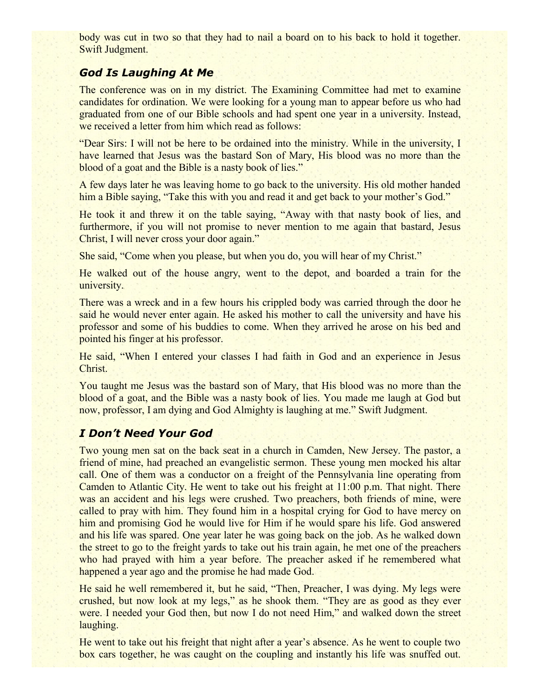body was cut in two so that they had to nail a board on to his back to hold it together. Swift Judgment.

#### *God Is Laughing At Me*

The conference was on in my district. The Examining Committee had met to examine candidates for ordination. We were looking for a young man to appear before us who had graduated from one of our Bible schools and had spent one year in a university. Instead, we received a letter from him which read as follows:

"Dear Sirs: I will not be here to be ordained into the ministry. While in the university, I have learned that Jesus was the bastard Son of Mary, His blood was no more than the blood of a goat and the Bible is a nasty book of lies."

A few days later he was leaving home to go back to the university. His old mother handed him a Bible saying, "Take this with you and read it and get back to your mother's God."

He took it and threw it on the table saying, "Away with that nasty book of lies, and furthermore, if you will not promise to never mention to me again that bastard, Jesus Christ, I will never cross your door again."

She said, "Come when you please, but when you do, you will hear of my Christ."

He walked out of the house angry, went to the depot, and boarded a train for the university.

There was a wreck and in a few hours his crippled body was carried through the door he said he would never enter again. He asked his mother to call the university and have his professor and some of his buddies to come. When they arrived he arose on his bed and pointed his finger at his professor.

He said, "When I entered your classes I had faith in God and an experience in Jesus Christ.

You taught me Jesus was the bastard son of Mary, that His blood was no more than the blood of a goat, and the Bible was a nasty book of lies. You made me laugh at God but now, professor, I am dying and God Almighty is laughing at me." Swift Judgment.

# *I Don't Need Your God*

Two young men sat on the back seat in a church in Camden, New Jersey. The pastor, a friend of mine, had preached an evangelistic sermon. These young men mocked his altar call. One of them was a conductor on a freight of the Pennsylvania line operating from Camden to Atlantic City. He went to take out his freight at 11:00 p.m. That night. There was an accident and his legs were crushed. Two preachers, both friends of mine, were called to pray with him. They found him in a hospital crying for God to have mercy on him and promising God he would live for Him if he would spare his life. God answered and his life was spared. One year later he was going back on the job. As he walked down the street to go to the freight yards to take out his train again, he met one of the preachers who had prayed with him a year before. The preacher asked if he remembered what happened a year ago and the promise he had made God.

He said he well remembered it, but he said, "Then, Preacher, I was dying. My legs were crushed, but now look at my legs," as he shook them. "They are as good as they ever were. I needed your God then, but now I do not need Him," and walked down the street laughing.

He went to take out his freight that night after a year's absence. As he went to couple two box cars together, he was caught on the coupling and instantly his life was snuffed out.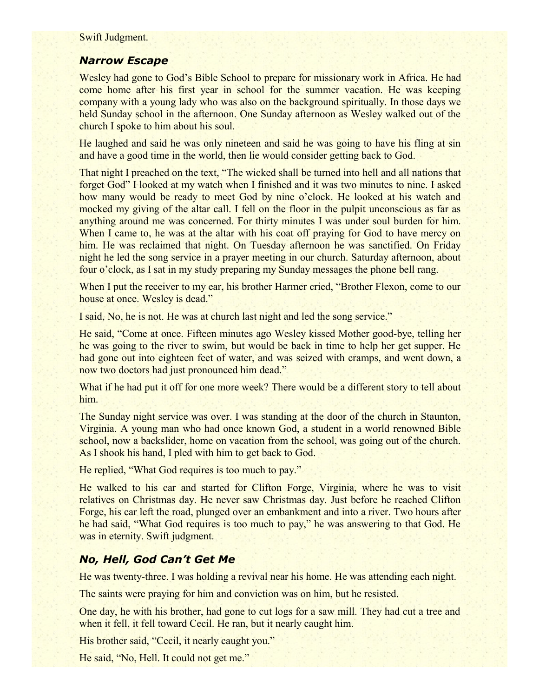Swift Judgment.

#### *Narrow Escape*

Wesley had gone to God's Bible School to prepare for missionary work in Africa. He had come home after his first year in school for the summer vacation. He was keeping company with a young lady who was also on the background spiritually. In those days we held Sunday school in the afternoon. One Sunday afternoon as Wesley walked out of the church I spoke to him about his soul.

He laughed and said he was only nineteen and said he was going to have his fling at sin and have a good time in the world, then lie would consider getting back to God.

That night I preached on the text, "The wicked shall be turned into hell and all nations that forget God" I looked at my watch when I finished and it was two minutes to nine. I asked how many would be ready to meet God by nine o'clock. He looked at his watch and mocked my giving of the altar call. I fell on the floor in the pulpit unconscious as far as anything around me was concerned. For thirty minutes I was under soul burden for him. When I came to, he was at the altar with his coat off praying for God to have mercy on him. He was reclaimed that night. On Tuesday afternoon he was sanctified. On Friday night he led the song service in a prayer meeting in our church. Saturday afternoon, about four o'clock, as I sat in my study preparing my Sunday messages the phone bell rang.

When I put the receiver to my ear, his brother Harmer cried, "Brother Flexon, come to our house at once. Wesley is dead."

I said, No, he is not. He was at church last night and led the song service."

He said, "Come at once. Fifteen minutes ago Wesley kissed Mother good-bye, telling her he was going to the river to swim, but would be back in time to help her get supper. He had gone out into eighteen feet of water, and was seized with cramps, and went down, a now two doctors had just pronounced him dead."

What if he had put it off for one more week? There would be a different story to tell about him.

The Sunday night service was over. I was standing at the door of the church in Staunton, Virginia. A young man who had once known God, a student in a world renowned Bible school, now a backslider, home on vacation from the school, was going out of the church. As I shook his hand, I pled with him to get back to God.

He replied, "What God requires is too much to pay."

He walked to his car and started for Clifton Forge, Virginia, where he was to visit relatives on Christmas day. He never saw Christmas day. Just before he reached Clifton Forge, his car left the road, plunged over an embankment and into a river. Two hours after he had said, "What God requires is too much to pay," he was answering to that God. He was in eternity. Swift judgment.

# *No, Hell, God Can't Get Me*

He was twenty-three. I was holding a revival near his home. He was attending each night.

The saints were praying for him and conviction was on him, but he resisted.

One day, he with his brother, had gone to cut logs for a saw mill. They had cut a tree and when it fell, it fell toward Cecil. He ran, but it nearly caught him.

His brother said, "Cecil, it nearly caught you."

He said, "No, Hell. It could not get me."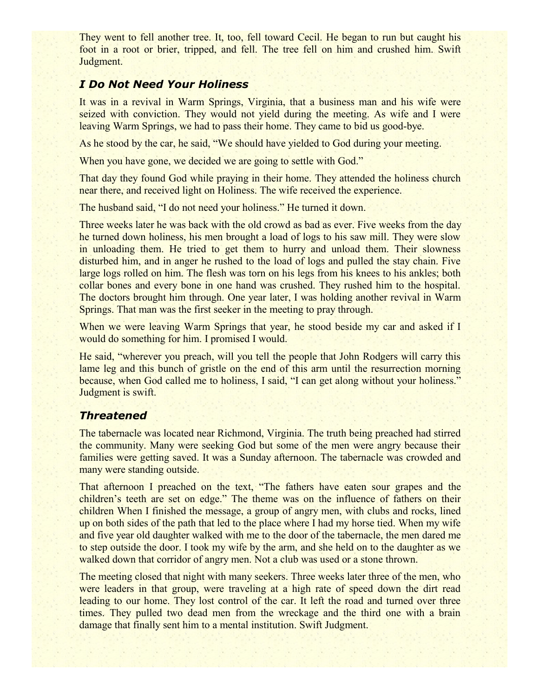They went to fell another tree. It, too, fell toward Cecil. He began to run but caught his foot in a root or brier, tripped, and fell. The tree fell on him and crushed him. Swift Judgment.

#### *I Do Not Need Your Holiness*

It was in a revival in Warm Springs, Virginia, that a business man and his wife were seized with conviction. They would not yield during the meeting. As wife and I were leaving Warm Springs, we had to pass their home. They came to bid us good-bye.

As he stood by the car, he said, "We should have yielded to God during your meeting.

When you have gone, we decided we are going to settle with God."

That day they found God while praying in their home. They attended the holiness church near there, and received light on Holiness. The wife received the experience.

The husband said, "I do not need your holiness." He turned it down.

Three weeks later he was back with the old crowd as bad as ever. Five weeks from the day he turned down holiness, his men brought a load of logs to his saw mill. They were slow in unloading them. He tried to get them to hurry and unload them. Their slowness disturbed him, and in anger he rushed to the load of logs and pulled the stay chain. Five large logs rolled on him. The flesh was torn on his legs from his knees to his ankles; both collar bones and every bone in one hand was crushed. They rushed him to the hospital. The doctors brought him through. One year later, I was holding another revival in Warm Springs. That man was the first seeker in the meeting to pray through.

When we were leaving Warm Springs that year, he stood beside my car and asked if I would do something for him. I promised I would.

He said, "wherever you preach, will you tell the people that John Rodgers will carry this lame leg and this bunch of gristle on the end of this arm until the resurrection morning because, when God called me to holiness, I said, "I can get along without your holiness." Judgment is swift.

# *Threatened*

The tabernacle was located near Richmond, Virginia. The truth being preached had stirred the community. Many were seeking God but some of the men were angry because their families were getting saved. It was a Sunday afternoon. The tabernacle was crowded and many were standing outside.

That afternoon I preached on the text, "The fathers have eaten sour grapes and the children's teeth are set on edge." The theme was on the influence of fathers on their children When I finished the message, a group of angry men, with clubs and rocks, lined up on both sides of the path that led to the place where I had my horse tied. When my wife and five year old daughter walked with me to the door of the tabernacle, the men dared me to step outside the door. I took my wife by the arm, and she held on to the daughter as we walked down that corridor of angry men. Not a club was used or a stone thrown.

The meeting closed that night with many seekers. Three weeks later three of the men, who were leaders in that group, were traveling at a high rate of speed down the dirt read leading to our home. They lost control of the car. It left the road and turned over three times. They pulled two dead men from the wreckage and the third one with a brain damage that finally sent him to a mental institution. Swift Judgment.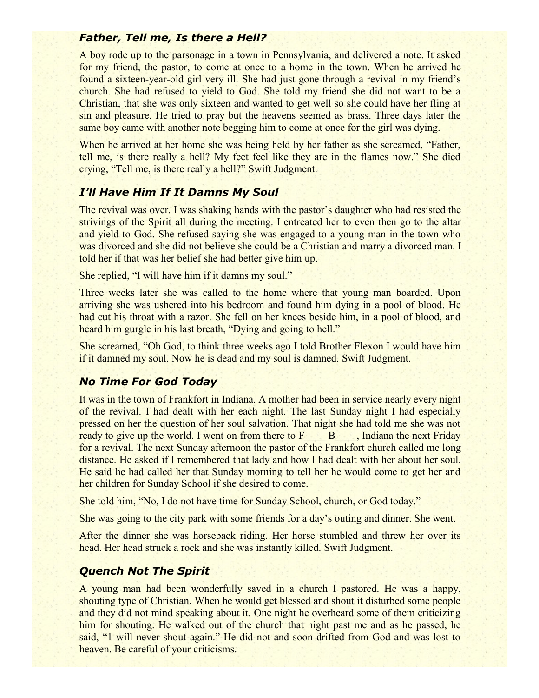#### *Father, Tell me, Is there a Hell?*

A boy rode up to the parsonage in a town in Pennsylvania, and delivered a note. It asked for my friend, the pastor, to come at once to a home in the town. When he arrived he found a sixteen-year-old girl very ill. She had just gone through a revival in my friend's church. She had refused to yield to God. She told my friend she did not want to be a Christian, that she was only sixteen and wanted to get well so she could have her fling at sin and pleasure. He tried to pray but the heavens seemed as brass. Three days later the same boy came with another note begging him to come at once for the girl was dying.

When he arrived at her home she was being held by her father as she screamed, "Father, tell me, is there really a hell? My feet feel like they are in the flames now." She died crying, "Tell me, is there really a hell?" Swift Judgment.

#### *I'll Have Him If It Damns My Soul*

The revival was over. I was shaking hands with the pastor's daughter who had resisted the strivings of the Spirit all during the meeting. I entreated her to even then go to the altar and yield to God. She refused saying she was engaged to a young man in the town who was divorced and she did not believe she could be a Christian and marry a divorced man. I told her if that was her belief she had better give him up.

She replied, "I will have him if it damns my soul."

Three weeks later she was called to the home where that young man boarded. Upon arriving she was ushered into his bedroom and found him dying in a pool of blood. He had cut his throat with a razor. She fell on her knees beside him, in a pool of blood, and heard him gurgle in his last breath, "Dying and going to hell."

She screamed, "Oh God, to think three weeks ago I told Brother Flexon I would have him if it damned my soul. Now he is dead and my soul is damned. Swift Judgment.

#### *No Time For God Today*

It was in the town of Frankfort in Indiana. A mother had been in service nearly every night of the revival. I had dealt with her each night. The last Sunday night I had especially pressed on her the question of her soul salvation. That night she had told me she was not ready to give up the world. I went on from there to  $F$   $\rightarrow$  B  $\rightarrow$  Indiana the next Friday for a revival. The next Sunday afternoon the pastor of the Frankfort church called me long distance. He asked if I remembered that lady and how I had dealt with her about her soul. He said he had called her that Sunday morning to tell her he would come to get her and her children for Sunday School if she desired to come.

She told him, "No, I do not have time for Sunday School, church, or God today."

She was going to the city park with some friends for a day's outing and dinner. She went.

After the dinner she was horseback riding. Her horse stumbled and threw her over its head. Her head struck a rock and she was instantly killed. Swift Judgment.

#### *Quench Not The Spirit*

A young man had been wonderfully saved in a church I pastored. He was a happy, shouting type of Christian. When he would get blessed and shout it disturbed some people and they did not mind speaking about it. One night he overheard some of them criticizing him for shouting. He walked out of the church that night past me and as he passed, he said, "1 will never shout again." He did not and soon drifted from God and was lost to heaven. Be careful of your criticisms.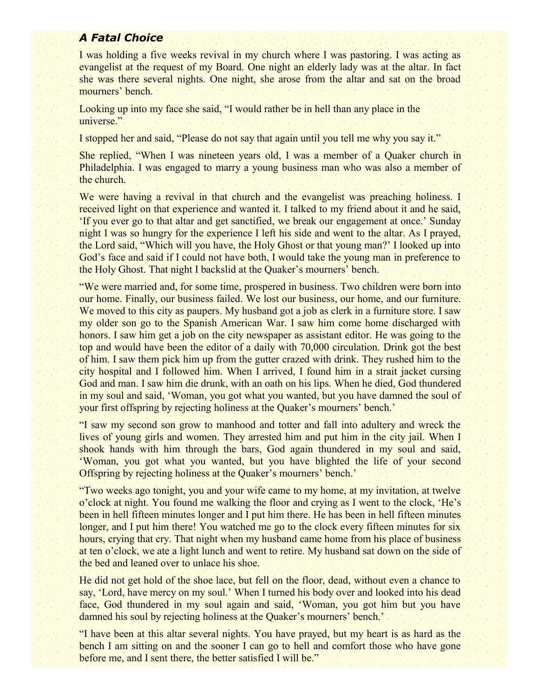# *A Fatal Choice*

I was holding a five weeks revival in my church where I was pastoring. I was acting as evangelist at the request of my Board. One night an elderly lady was at the altar. In fact she was there several nights. One night, she arose from the altar and sat on the broad mourners' bench.

Looking up into my face she said, "I would rather be in hell than any place in the universe."

I stopped her and said, "Please do not say that again until you tell me why you say it."

She replied, "When I was nineteen years old, I was a member of a Quaker church in Philadelphia. I was engaged to marry a young business man who was also a member of the church.

We were having a revival in that church and the evangelist was preaching holiness. I received light on that experience and wanted it. I talked to my friend about it and he said, 'If you ever go to that altar and get sanctified, we break our engagement at once.' Sunday night I was so hungry for the experience I left his side and went to the altar. As I prayed, the Lord said, "Which will you have, the Holy Ghost or that young man?' I looked up into God's face and said if I could not have both, I would take the young man in preference to the Holy Ghost. That night I backslid at the Quaker's mourners' bench.

"We were married and, for some time, prospered in business. Two children were born into our home. Finally, our business failed. We lost our business, our home, and our furniture. We moved to this city as paupers. My husband got a job as clerk in a furniture store. I saw my older son go to the Spanish American War. I saw him come home discharged with honors. I saw him get a job on the city newspaper as assistant editor. He was going to the top and would have been the editor of a daily with 70,000 circulation. Drink got the best of him. I saw them pick him up from the gutter crazed with drink. They rushed him to the city hospital and I followed him. When I arrived, I found him in a strait jacket cursing God and man. I saw him die drunk, with an oath on his lips. When he died, God thundered in my soul and said, 'Woman, you got what you wanted, but you have damned the soul of your first offspring by rejecting holiness at the Quaker's mourners' bench.'

"I saw my second son grow to manhood and totter and fall into adultery and wreck the lives of young girls and women. They arrested him and put him in the city jail. When I shook hands with him through the bars, God again thundered in my soul and said, 'Woman, you got what you wanted, but you have blighted the life of your second Offspring by rejecting holiness at the Quaker's mourners' bench.'

"Two weeks ago tonight, you and your wife came to my home, at my invitation, at twelve o'clock at night. You found me walking the floor and crying as I went to the clock, 'He's been in hell fifteen minutes longer and I put him there. He has been in hell fifteen minutes longer, and I put him there! You watched me go to the clock every fifteen minutes for six hours, crying that cry. That night when my husband came home from his place of business at ten o'clock, we ate a light lunch and went to retire. My husband sat down on the side of the bed and leaned over to unlace his shoe.

He did not get hold of the shoe lace, but fell on the floor, dead, without even a chance to say, 'Lord, have mercy on my soul.' When I turned his body over and looked into his dead face, God thundered in my soul again and said, 'Woman, you got him but you have damned his soul by rejecting holiness at the Quaker's mourners' bench.'

"I have been at this altar several nights. You have prayed, but my heart is as hard as the bench I am sitting on and the sooner I can go to hell and comfort those who have gone before me, and I sent there, the better satisfied I will be."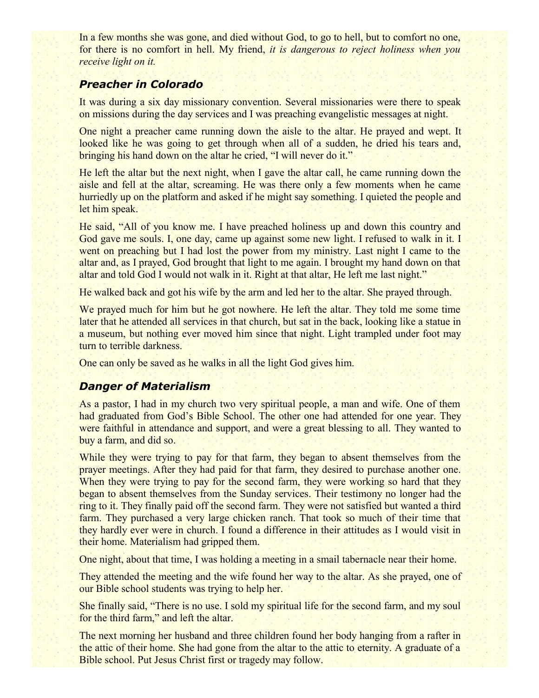In a few months she was gone, and died without God, to go to hell, but to comfort no one, for there is no comfort in hell. My friend, *it is dangerous to reject holiness when you receive light on it.*

# *Preacher in Colorado*

It was during a six day missionary convention. Several missionaries were there to speak on missions during the day services and I was preaching evangelistic messages at night.

One night a preacher came running down the aisle to the altar. He prayed and wept. It looked like he was going to get through when all of a sudden, he dried his tears and, bringing his hand down on the altar he cried, "I will never do it."

He left the altar but the next night, when I gave the altar call, he came running down the aisle and fell at the altar, screaming. He was there only a few moments when he came hurriedly up on the platform and asked if he might say something. I quieted the people and let him speak.

He said, "All of you know me. I have preached holiness up and down this country and God gave me souls. I, one day, came up against some new light. I refused to walk in it. I went on preaching but I had lost the power from my ministry. Last night I came to the altar and, as I prayed, God brought that light to me again. I brought my hand down on that altar and told God I would not walk in it. Right at that altar, He left me last night."

He walked back and got his wife by the arm and led her to the altar. She prayed through.

We prayed much for him but he got nowhere. He left the altar. They told me some time later that he attended all services in that church, but sat in the back, looking like a statue in a museum, but nothing ever moved him since that night. Light trampled under foot may turn to terrible darkness.

One can only be saved as he walks in all the light God gives him.

#### *Danger of Materialism*

As a pastor, I had in my church two very spiritual people, a man and wife. One of them had graduated from God's Bible School. The other one had attended for one year. They were faithful in attendance and support, and were a great blessing to all. They wanted to buy a farm, and did so.

While they were trying to pay for that farm, they began to absent themselves from the prayer meetings. After they had paid for that farm, they desired to purchase another one. When they were trying to pay for the second farm, they were working so hard that they began to absent themselves from the Sunday services. Their testimony no longer had the ring to it. They finally paid off the second farm. They were not satisfied but wanted a third farm. They purchased a very large chicken ranch. That took so much of their time that they hardly ever were in church. I found a difference in their attitudes as I would visit in their home. Materialism had gripped them.

One night, about that time, I was holding a meeting in a smail tabernacle near their home.

They attended the meeting and the wife found her way to the altar. As she prayed, one of our Bible school students was trying to help her.

She finally said, "There is no use. I sold my spiritual life for the second farm, and my soul for the third farm," and left the altar.

The next morning her husband and three children found her body hanging from a rafter in the attic of their home. She had gone from the altar to the attic to eternity. A graduate of a Bible school. Put Jesus Christ first or tragedy may follow.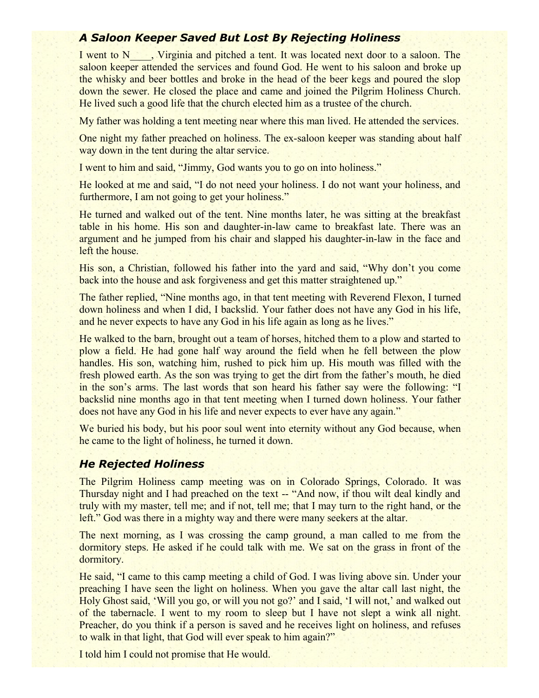# *A Saloon Keeper Saved But Lost By Rejecting Holiness*

I went to N\_\_\_\_, Virginia and pitched a tent. It was located next door to a saloon. The saloon keeper attended the services and found God. He went to his saloon and broke up the whisky and beer bottles and broke in the head of the beer kegs and poured the slop down the sewer. He closed the place and came and joined the Pilgrim Holiness Church. He lived such a good life that the church elected him as a trustee of the church.

My father was holding a tent meeting near where this man lived. He attended the services.

One night my father preached on holiness. The ex-saloon keeper was standing about half way down in the tent during the altar service.

I went to him and said, "Jimmy, God wants you to go on into holiness."

He looked at me and said, "I do not need your holiness. I do not want your holiness, and furthermore, I am not going to get your holiness."

He turned and walked out of the tent. Nine months later, he was sitting at the breakfast table in his home. His son and daughter-in-law came to breakfast late. There was an argument and he jumped from his chair and slapped his daughter-in-law in the face and left the house.

His son, a Christian, followed his father into the yard and said, "Why don't you come back into the house and ask forgiveness and get this matter straightened up."

The father replied, "Nine months ago, in that tent meeting with Reverend Flexon, I turned down holiness and when I did, I backslid. Your father does not have any God in his life, and he never expects to have any God in his life again as long as he lives."

He walked to the barn, brought out a team of horses, hitched them to a plow and started to plow a field. He had gone half way around the field when he fell between the plow handles. His son, watching him, rushed to pick him up. His mouth was filled with the fresh plowed earth. As the son was trying to get the dirt from the father's mouth, he died in the son's arms. The last words that son heard his father say were the following: "I backslid nine months ago in that tent meeting when I turned down holiness. Your father does not have any God in his life and never expects to ever have any again."

We buried his body, but his poor soul went into eternity without any God because, when he came to the light of holiness, he turned it down.

# *He Rejected Holiness*

The Pilgrim Holiness camp meeting was on in Colorado Springs, Colorado. It was Thursday night and I had preached on the text -- "And now, if thou wilt deal kindly and truly with my master, tell me; and if not, tell me; that I may turn to the right hand, or the left." God was there in a mighty way and there were many seekers at the altar.

The next morning, as I was crossing the camp ground, a man called to me from the dormitory steps. He asked if he could talk with me. We sat on the grass in front of the dormitory.

He said, "I came to this camp meeting a child of God. I was living above sin. Under your preaching I have seen the light on holiness. When you gave the altar call last night, the Holy Ghost said, 'Will you go, or will you not go?' and I said, 'I will not,' and walked out of the tabernacle. I went to my room to sleep but I have not slept a wink all night. Preacher, do you think if a person is saved and he receives light on holiness, and refuses to walk in that light, that God will ever speak to him again?"

I told him I could not promise that He would.